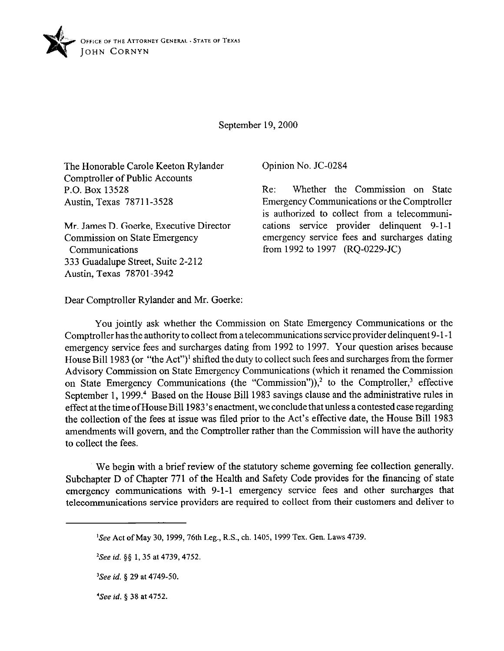

September 19,200O

The Honorable Carole Keeton Rylander Comptroller of Public Accounts P.O. Box 13528 Austin, Texas 78711-3528

Mr. James D. Goerke, Executive Director Commission on State Emergency Communications 333 Guadalupe Street, Suite 2-212 Austin, Texas 78701-3942

Opinion No. JC-0284

Re: Whether the Commission on State Emergency Communications or the Comptroller is authorized to collect from a telecommunications service provider delinquent 9-1-1 emergency service fees and surcharges dating from 1992 to 1997 (RQ-0229-JC)

Dear Comptroller Rylander and Mr. Goerke:

You jointly ask whether the Commission on State Emergency Communications or the Comptroller has the authority to collect from a telecommunications service provider delinquent 9-1-1 emergency service fees and surcharges dating from 1992 to 1997. Your question arises because House Bill 1983 (or "the Act")' shifted the duty to collect such fees and surcharges from the former Advisory Commission on State Emergency Communications (which it renamed the Commission on State Emergency Communications (the "Commission")),<sup>2</sup> to the Comptroller,<sup>3</sup> effective September 1, 1999.<sup>4</sup> Based on the House Bill 1983 savings clause and the administrative rules in effect at the time of House Bill 1983's enactment, we conclude that unless a contested case regarding the collection of the fees at issue was tiled prior to the Act's effective date, the House Bill 1983 amendments will govern, and the Comptroller rather than the Commission will have the authority to collect the fees.

We begin with a brief review of the statutory scheme governing fee collection generally. Subchapter D of Chapter 771 of the Health and Safety Code provides for the financing of state emergency communications with 9-l-l emergency service fees and other surcharges that telecommunications service providers are required to collect from their customers and deliver to

<sup>&</sup>lt;sup>1</sup>See Act of May 30, 1999, 76th Leg., R.S., ch. 1405, 1999 Tex. Gen. Laws 4739.

*<sup>2</sup>See id. \$5* 1,35 at 4739,4752.

*<sup>&#</sup>x27;See id. 5 29* at *4749-50.* 

*<sup>&#</sup>x27;See id. 5 38* at *4752.*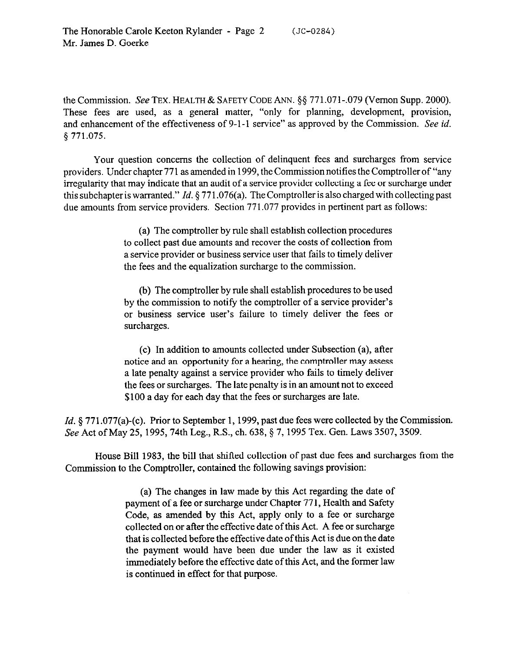the Commission. See TEX. HEALTH & SAFETY CODE ANN. \$5 771.071-.079 (Vernon Supp. 2000). These fees are used, as a general matter, "only for planning, development, provision, and enhancement of the effectiveness of 9-l-l service" as approved by the Commission. See *id.*  9 771.075.

Your question concerns the collection of delinquent fees and surcharges from service providers. Under chapter 771 as amended in 1999, the Commission notifies the Comptroller of "any irregularity that may indicate that an audit of a service provider collecting a fee or surcharge under this subchapter is warranted." *Id.* 5 771.076(a). The Comptroller is also charged with collecting past due amounts from service providers. Section 771.077 provides in pertinent part as follows:

> (a) The comptroller by rule shall establish collection procedures to collect past due amounts and recover the costs of collection from a service provider or business service user that fails to timely deliver the fees and the equalization surcharge to the commission.

> (b) The comptroller by rule shall establish procedures to be used by the commission to notify the comptroller of a service provider's or business service user's failure to timely deliver the fees or surcharges.

> (c) In addition to amounts collected under Subsection (a), after notice and an opportunity for a hearing, the comptroller may assess a late penalty against a service provider who fails to timely deliver the fees or surcharges. The late penalty is in an amount not to exceed \$100 a day for each day that the fees or surcharges are late.

*Id.* § 771.077(a)-(c). Prior to September 1, 1999, past due fees were collected by the Commission. See Act of May 25, 1995, 74th Leg., R.S., ch. 638, § 7, 1995 Tex. Gen. Laws 3507, 3509.

House Bill 1983, the bill that shifted collection of past due fees and surcharges from the Commission to the Comptroller, contained the following savings provision:

> (a) The changes in law made by this Act regarding the date of payment of a fee or surcharge under Chapter 771, Health and Safety Code, as amended by this Act, apply only to a fee or surcharge collected on or after the effective date of this Act. A fee or surcharge that is collected before the effective date ofthis Act is due on the date the payment would have been due under the law as it existed immediately before the effective date of this Act, and the former law is continued in effect for that purpose.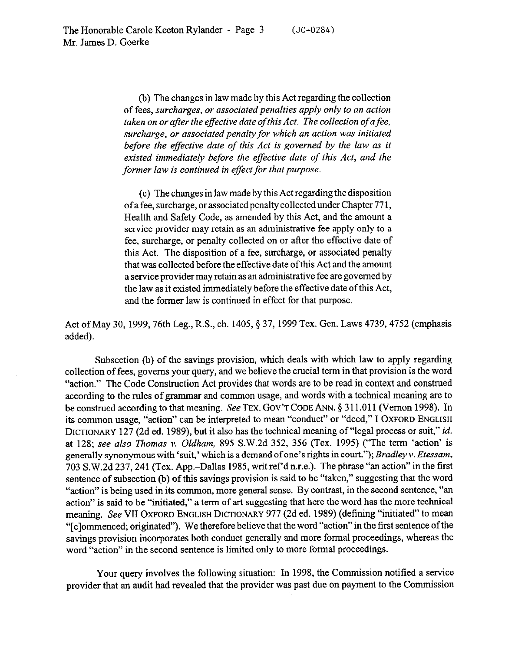(b) The changes in law made by this Act regarding the collection of fees, *surcharges, or associated penalties apply only to an action taken on or after the effective date of this Act. The collection of a fee, surcharge, or associated penalty for which an action was initiated before the effective date of this Act is governed by the law as it existed immediately before the effective date of this Act, and the former law is continued in effect for that purpose.* 

(c) The changes in law made by this Act regarding the disposition of a fee, surcharge, or associated penalty collected under Chapter 77 1, Health and Safety Code, as amended by this Act, and the amount a service provider may retain as an administrative fee apply only to a fee, surcharge, or penalty collected on or after the effective date of this Act. The disposition of a fee, surcharge, or associated penalty that was collected before the effective date ofthis Act and the amount a service provider may retain as an administrative fee are governed by the law as it existed immediately before the effective date ofthis Act, and the former law is continued in effect for that purpose.

Act of May 30, 1999, 76th Leg., R.S., ch. 1405, § 37, 1999 Tex. Gen. Laws 4739, 4752 (emphasis added).

Subsection (b) of the savings provision, which deals with which law to apply regarding collection of fees, governs your query, and we believe the crucial term in that provision is the word "action." The Code Construction Act provides that words are to be read in context and construed according to the rules of grammar and common usage, and words with a technical meaning are to be construed according to that meaning. See TEX. GOV'T CODE ANN. § 311.011 (Vernon 1998). In its common usage, "action" can be interpreted to mean "conduct" or "deed," I OXFORD **ENGLISH DICTIONARY** 127 (2d ed. 1989), but it also has the technical meaning of "legal process or suit," *id.*  at 128; *see also Thomas v. Oldham,* 895 S.W.2d 352, 356 (Tex. 1995) ("The term 'action' is generally synonymous with 'suit,' which is a demand of one's rights in *court."); Bradley v. Etessam,*  703 S.W.2d 237,241 (Tex. App.-Dallas 1985, writ ref d n.r.e.). The phrase "an action" in the first sentence of subsection (b) of this savings provision is said to be "taken," suggesting that the word "action" is being used in its common, more general sense. By contrast, in the second sentence, "an action" is said to be "initiated," a term of art suggesting that here the word has the more technical meaning. See VII OXFORD **ENGLISH DICTIONARY** 977 (2d ed. 1989) (defining "initiated" to mean "[clommenced; originated"). We therefore believe that the word "action" in the first sentence of the savings provision incorporates both conduct generally and more formal proceedings, whereas the word "action" in the second sentence is limited only to more formal proceedings.

Your query involves the following situation: In 1998, the Commission notified a service provider that an audit had revealed that the provider was past due on payment to the Commission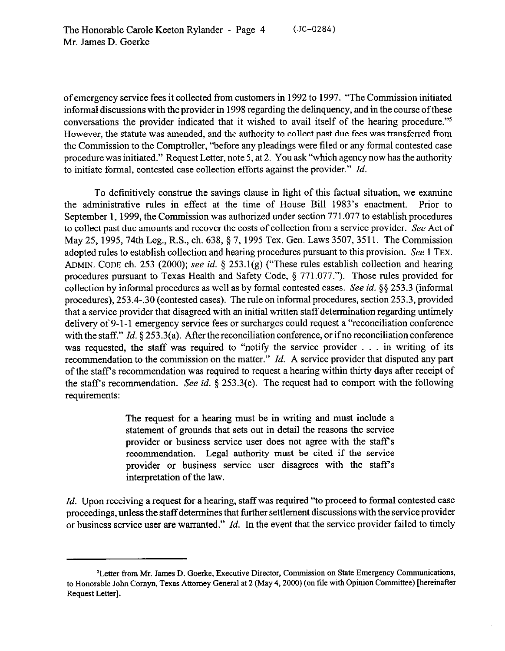of emergency service fees it collected from customers in 1992 to 1997. "The Commission initiated informal discussions with the provider in 1998 regarding the delinquency, and in the course of these conversations the provider indicated that it wished to avail itself of the hearing procedure."5 However, the statute was amended, and the authority to collect past due fees was transferred from the Commission to the Comptroller, "before any pleadings were filed or any formal contested case procedure was initiated." Request Letter, note 5, at 2. You ask "which agency now has the authority to initiate formal, contested case collection efforts against the provider." *Id.* 

To definitively construe the savings clause in light of this factual situation, we examine the administrative rules in effect at the time of House Bill 1983's enactment. Prior to September 1, 1999, the Commission was authorized under section 771.077 to establish procedures to collect past due amounts and recover the costs of collection from a service provider. See Act of May 25, 1995,74th Leg., R.S., ch. 638, \$ 7, 1995 Tex. Gen. Laws 3507,351l. The Commission adopted rules to establish collection and hearing procedures pursuant to this provision. See 1 **TEX. ADMIN. CODE** ch. 253 (2000); see *id.* 5 253.1(g) ("These rules establish collection and hearing procedures pursuant to Texas Health and Safety Code, 8 771.077."). Those rules provided for collection by informal procedures as well as by formal contested cases. See *id.* \$5 253.3 (informal procedures), 253.4-.30 (contested cases). The rule on informal procedures, section 253.3, provided that a service provider that disagreed with an initial written staff determination regarding untimely delivery of 9-l-l emergency service fees or surcharges could request a "reconciliation conference with the staff." *Id.* § 253.3(a). After the reconciliation conference, or if no reconciliation conference was requested, the staff was required to "notify the service provider . . . in writing of its recommendation to the commission on the matter." *Id.* A service provider that disputed any part of the staff's recommendation was required to request a hearing within thirty days after receipt of the staffs recommendation. See *id.* 5 253.3(c). The request had to comport with the following requirements:

> The request for a hearing must be in writing and must include a statement of grounds that sets out in detail the reasons the service provider or business service user does not agree with the staff's recommendation. Legal authority must be cited if the service provider or business service user disagrees with the staffs interpretation of the law.

Id. Upon receiving a request for a hearing, staff was required "to proceed to formal contested case proceedings, unless the staff determines that further settlement discussions with the service provider or business service user are warranted." *Id.* In the event that the service provider failed to timely

<sup>&</sup>lt;sup>5</sup>Letter from Mr. James D. Goerke, Executive Director, Commission on State Emergency Communications, to Honorable John Cornyn, Texas Attorney General at 2 (May 4, 2000) (on file with Opinion Committee) [hereinafter Request Letter].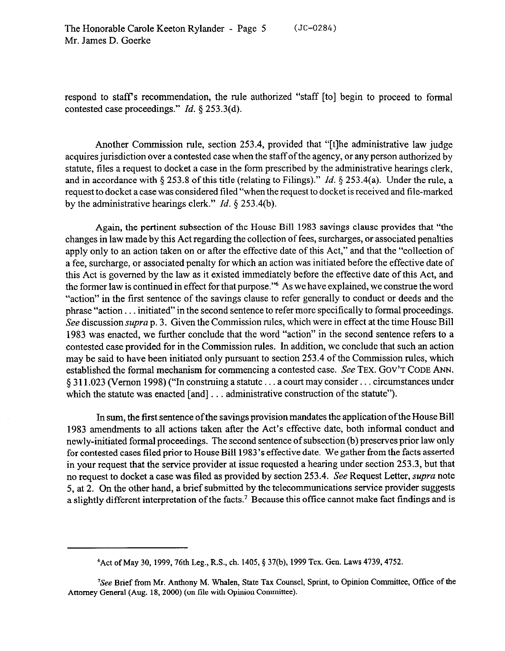The Honorable Carole Keeton Rylander - Page 5 Mr. James D. Goerke  $(JC-0284)$ 

respond to staffs recommendation, the rule authorized "staff [to] begin to proceed to formal contested case proceedings." *Id. 9* 253.3(d).

Another Commission rule, section 253.4, provided that "[tlhe administrative law judge acquires jurisdiction over a contested case when the staff of the agency, or any person authorized by statute, files a request to docket a case in the form prescribed by the administrative hearings clerk, and in accordance with \$253.8 of this title (relating to Filings)." *Id.* 5 253.4(a). Under the rule, a request to docket a case was considered tiled "when the request to docket is received and tile-marked by the administrative hearings clerk." *Id. 5* 253.4(b).

Again, the pertinent subsection of the House Bill 1983 savings clause provides that "the changes in law made by this Act regarding the collection of fees, surcharges, or associated penalties apply only to an action taken on or after the effective date of this Act," and that the "collection of a fee, surcharge, or associated penalty for which an action was initiated before the effective date of this Act is governed by the law as it existed immediately before the effective date of this Act, and the former law is continued in effect for that purpose."6 As we have explained, we construe the word "action" in the first sentence of the savings clause to refer generally to conduct or deeds and the phrase "action . . initiated" in the second sentence to refer more specifically to formal proceedings. See discussion *supra* p. 3. Given the Commission rules, which were in effect at the time House Bill 1983 was enacted, we further conclude that the word "action" in the second sentence refers to a contested case provided for in the Commission rules. In addition, we conclude that such an action may be said to have been initiated only pursuant to section 253.4 of the Commission rules, which established the formal mechanism for commencing a contested case. See TEX. GOV'T CODE ANN. § 311.023 (Vernon 1998) ("In construing a statute ... a court may consider... circumstances under which the statute was enacted  $[and] \dots$  administrative construction of the statute").

In sum, the first sentence ofthe savings provision mandates the application ofthe House Bill 1983 amendments to all actions taken after the Act's effective date, both informal conduct and newly-initiated formal proceedings. The second sentence of subsection(b) preserves prior law only for contested cases tiled prior to House Bill 1983's effective date. We gather from the facts asserted in your request that the service provider at issue requested a hearing under section 253.3, but that no request to docket a case was filed as provided by section 253.4. See Request Letter, *supra* note 5, at 2. On the other hand, a brief submitted by the telecommunications service provider suggests a slightly different interpretation of the facts.<sup>7</sup> Because this office cannot make fact findings and is

<sup>&</sup>lt;sup>6</sup> Act of May 30, 1999, 76th Leg., R.S., ch. 1405, § 37(b), 1999 Tex. Gen. Laws 4739, 4752.

<sup>&#</sup>x27;See Brief from Mr. Anthony M. Whalen, State Tax Counsel, Sprint, to Opinion Committee, Office of the Attorney General (Aug. 18, 2000) (on file with Opinion Committee).